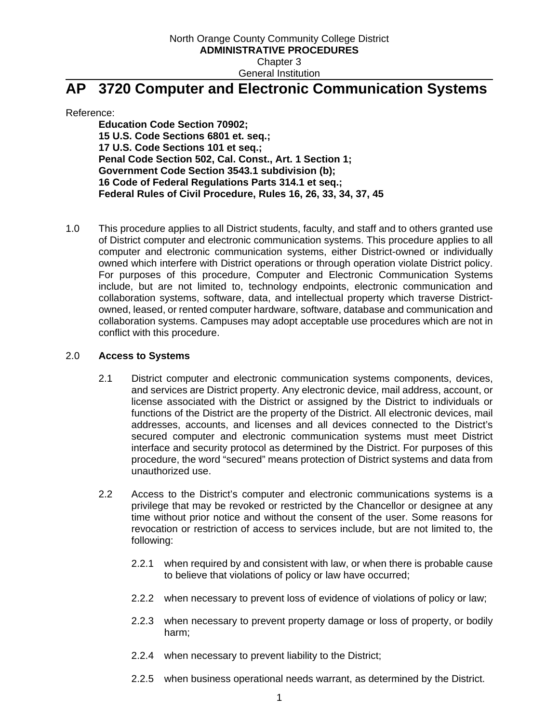Reference:

**Education Code Section 70902; 15 U.S. Code Sections 6801 et. seq.; 17 U.S. Code Sections 101 et seq.; Penal Code Section 502, Cal. Const., Art. 1 Section 1; Government Code Section 3543.1 subdivision (b); 16 Code of Federal Regulations Parts 314.1 et seq.; Federal Rules of Civil Procedure, Rules 16, 26, 33, 34, 37, 45**

1.0 This procedure applies to all District students, faculty, and staff and to others granted use of District computer and electronic communication systems. This procedure applies to all computer and electronic communication systems, either District-owned or individually owned which interfere with District operations or through operation violate District policy. For purposes of this procedure, Computer and Electronic Communication Systems include, but are not limited to, technology endpoints, electronic communication and collaboration systems, software, data, and intellectual property which traverse Districtowned, leased, or rented computer hardware, software, database and communication and collaboration systems. Campuses may adopt acceptable use procedures which are not in conflict with this procedure.

#### 2.0 **Access to Systems**

- 2.1 District computer and electronic communication systems components, devices, and services are District property. Any electronic device, mail address, account, or license associated with the District or assigned by the District to individuals or functions of the District are the property of the District. All electronic devices, mail addresses, accounts, and licenses and all devices connected to the District's secured computer and electronic communication systems must meet District interface and security protocol as determined by the District. For purposes of this procedure, the word "secured" means protection of District systems and data from unauthorized use.
- 2.2 Access to the District's computer and electronic communications systems is a privilege that may be revoked or restricted by the Chancellor or designee at any time without prior notice and without the consent of the user. Some reasons for revocation or restriction of access to services include, but are not limited to, the following:
	- 2.2.1 when required by and consistent with law, or when there is probable cause to believe that violations of policy or law have occurred;
	- 2.2.2 when necessary to prevent loss of evidence of violations of policy or law;
	- 2.2.3 when necessary to prevent property damage or loss of property, or bodily harm;
	- 2.2.4 when necessary to prevent liability to the District;
	- 2.2.5 when business operational needs warrant, as determined by the District.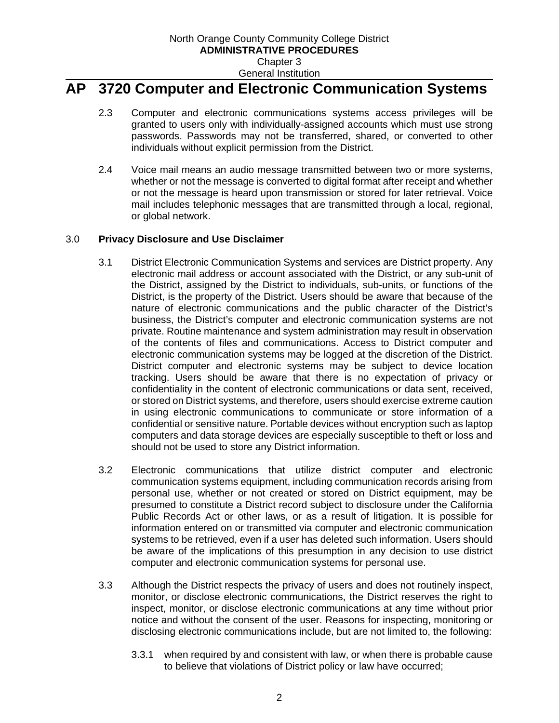- 2.3 Computer and electronic communications systems access privileges will be granted to users only with individually-assigned accounts which must use strong passwords. Passwords may not be transferred, shared, or converted to other individuals without explicit permission from the District.
- 2.4 Voice mail means an audio message transmitted between two or more systems, whether or not the message is converted to digital format after receipt and whether or not the message is heard upon transmission or stored for later retrieval. Voice mail includes telephonic messages that are transmitted through a local, regional, or global network.

#### 3.0 **Privacy Disclosure and Use Disclaimer**

- 3.1 District Electronic Communication Systems and services are District property. Any electronic mail address or account associated with the District, or any sub-unit of the District, assigned by the District to individuals, sub-units, or functions of the District, is the property of the District. Users should be aware that because of the nature of electronic communications and the public character of the District's business, the District's computer and electronic communication systems are not private. Routine maintenance and system administration may result in observation of the contents of files and communications. Access to District computer and electronic communication systems may be logged at the discretion of the District. District computer and electronic systems may be subject to device location tracking. Users should be aware that there is no expectation of privacy or confidentiality in the content of electronic communications or data sent, received, or stored on District systems, and therefore, users should exercise extreme caution in using electronic communications to communicate or store information of a confidential or sensitive nature. Portable devices without encryption such as laptop computers and data storage devices are especially susceptible to theft or loss and should not be used to store any District information.
- 3.2 Electronic communications that utilize district computer and electronic communication systems equipment, including communication records arising from personal use, whether or not created or stored on District equipment, may be presumed to constitute a District record subject to disclosure under the California Public Records Act or other laws, or as a result of litigation. It is possible for information entered on or transmitted via computer and electronic communication systems to be retrieved, even if a user has deleted such information. Users should be aware of the implications of this presumption in any decision to use district computer and electronic communication systems for personal use.
- 3.3 Although the District respects the privacy of users and does not routinely inspect, monitor, or disclose electronic communications, the District reserves the right to inspect, monitor, or disclose electronic communications at any time without prior notice and without the consent of the user. Reasons for inspecting, monitoring or disclosing electronic communications include, but are not limited to, the following:
	- 3.3.1 when required by and consistent with law, or when there is probable cause to believe that violations of District policy or law have occurred;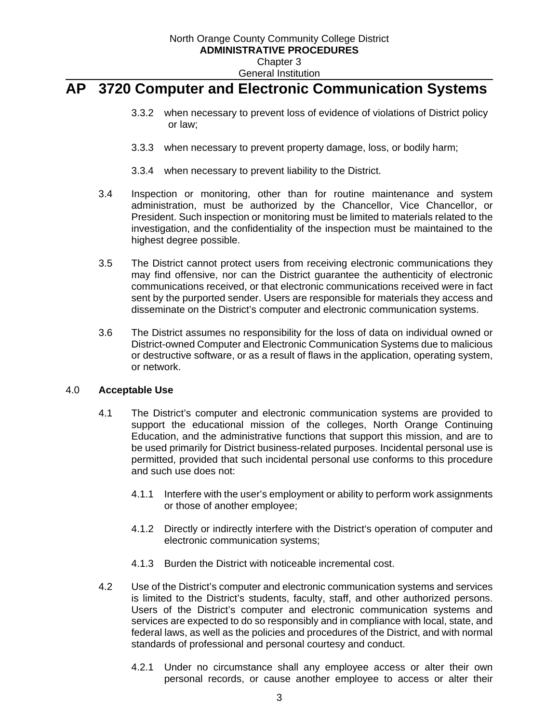- 3.3.2 when necessary to prevent loss of evidence of violations of District policy or law;
- 3.3.3 when necessary to prevent property damage, loss, or bodily harm;
- 3.3.4 when necessary to prevent liability to the District.
- 3.4 Inspection or monitoring, other than for routine maintenance and system administration, must be authorized by the Chancellor, Vice Chancellor, or President. Such inspection or monitoring must be limited to materials related to the investigation, and the confidentiality of the inspection must be maintained to the highest degree possible.
- 3.5 The District cannot protect users from receiving electronic communications they may find offensive, nor can the District guarantee the authenticity of electronic communications received, or that electronic communications received were in fact sent by the purported sender. Users are responsible for materials they access and disseminate on the District's computer and electronic communication systems.
- 3.6 The District assumes no responsibility for the loss of data on individual owned or District-owned Computer and Electronic Communication Systems due to malicious or destructive software, or as a result of flaws in the application, operating system, or network.

#### 4.0 **Acceptable Use**

- 4.1 The District's computer and electronic communication systems are provided to support the educational mission of the colleges, North Orange Continuing Education, and the administrative functions that support this mission, and are to be used primarily for District business-related purposes. Incidental personal use is permitted, provided that such incidental personal use conforms to this procedure and such use does not:
	- 4.1.1 Interfere with the user's employment or ability to perform work assignments or those of another employee;
	- 4.1.2 Directly or indirectly interfere with the District's operation of computer and electronic communication systems;
	- 4.1.3 Burden the District with noticeable incremental cost.
- 4.2 Use of the District's computer and electronic communication systems and services is limited to the District's students, faculty, staff, and other authorized persons. Users of the District's computer and electronic communication systems and services are expected to do so responsibly and in compliance with local, state, and federal laws, as well as the policies and procedures of the District, and with normal standards of professional and personal courtesy and conduct.
	- 4.2.1 Under no circumstance shall any employee access or alter their own personal records, or cause another employee to access or alter their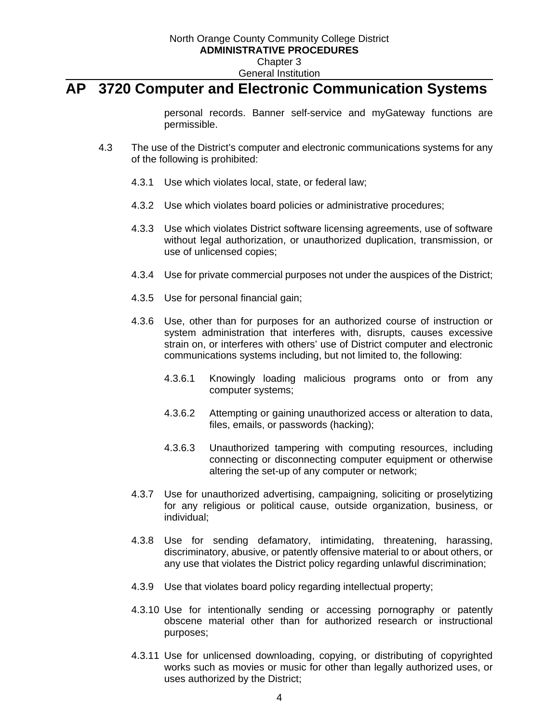personal records. Banner self-service and myGateway functions are permissible.

- 4.3 The use of the District's computer and electronic communications systems for any of the following is prohibited:
	- 4.3.1 Use which violates local, state, or federal law;
	- 4.3.2 Use which violates board policies or administrative procedures;
	- 4.3.3 Use which violates District software licensing agreements, use of software without legal authorization, or unauthorized duplication, transmission, or use of unlicensed copies;
	- 4.3.4 Use for private commercial purposes not under the auspices of the District;
	- 4.3.5 Use for personal financial gain;
	- 4.3.6 Use, other than for purposes for an authorized course of instruction or system administration that interferes with, disrupts, causes excessive strain on, or interferes with others' use of District computer and electronic communications systems including, but not limited to, the following:
		- 4.3.6.1 Knowingly loading malicious programs onto or from any computer systems;
		- 4.3.6.2 Attempting or gaining unauthorized access or alteration to data, files, emails, or passwords (hacking);
		- 4.3.6.3 Unauthorized tampering with computing resources, including connecting or disconnecting computer equipment or otherwise altering the set-up of any computer or network;
	- 4.3.7 Use for unauthorized advertising, campaigning, soliciting or proselytizing for any religious or political cause, outside organization, business, or individual;
	- 4.3.8 Use for sending defamatory, intimidating, threatening, harassing, discriminatory, abusive, or patently offensive material to or about others, or any use that violates the District policy regarding unlawful discrimination;
	- 4.3.9 Use that violates board policy regarding intellectual property;
	- 4.3.10 Use for intentionally sending or accessing pornography or patently obscene material other than for authorized research or instructional purposes;
	- 4.3.11 Use for unlicensed downloading, copying, or distributing of copyrighted works such as movies or music for other than legally authorized uses, or uses authorized by the District;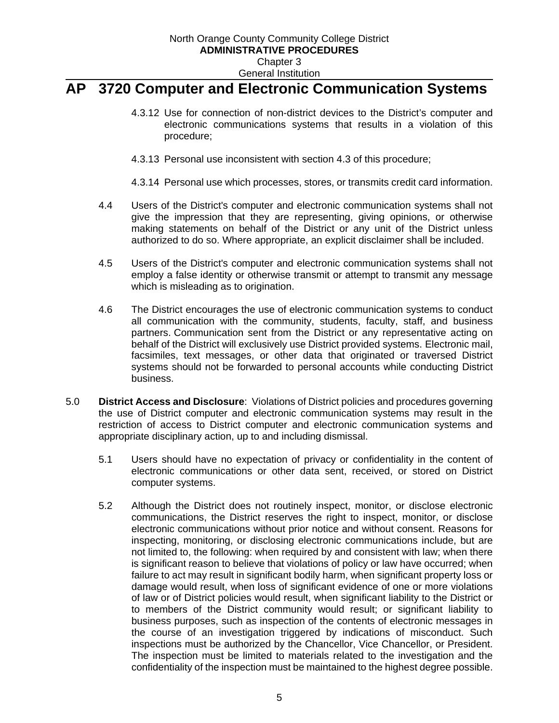- 4.3.12 Use for connection of non-district devices to the District's computer and electronic communications systems that results in a violation of this procedure;
- 4.3.13 Personal use inconsistent with section 4.3 of this procedure;
- 4.3.14 Personal use which processes, stores, or transmits credit card information.
- 4.4 Users of the District's computer and electronic communication systems shall not give the impression that they are representing, giving opinions, or otherwise making statements on behalf of the District or any unit of the District unless authorized to do so. Where appropriate, an explicit disclaimer shall be included.
- 4.5 Users of the District's computer and electronic communication systems shall not employ a false identity or otherwise transmit or attempt to transmit any message which is misleading as to origination.
- 4.6 The District encourages the use of electronic communication systems to conduct all communication with the community, students, faculty, staff, and business partners. Communication sent from the District or any representative acting on behalf of the District will exclusively use District provided systems. Electronic mail, facsimiles, text messages, or other data that originated or traversed District systems should not be forwarded to personal accounts while conducting District business.
- 5.0 **District Access and Disclosure**:Violations of District policies and procedures governing the use of District computer and electronic communication systems may result in the restriction of access to District computer and electronic communication systems and appropriate disciplinary action, up to and including dismissal.
	- 5.1 Users should have no expectation of privacy or confidentiality in the content of electronic communications or other data sent, received, or stored on District computer systems.
	- 5.2 Although the District does not routinely inspect, monitor, or disclose electronic communications, the District reserves the right to inspect, monitor, or disclose electronic communications without prior notice and without consent. Reasons for inspecting, monitoring, or disclosing electronic communications include, but are not limited to, the following: when required by and consistent with law; when there is significant reason to believe that violations of policy or law have occurred; when failure to act may result in significant bodily harm, when significant property loss or damage would result, when loss of significant evidence of one or more violations of law or of District policies would result, when significant liability to the District or to members of the District community would result; or significant liability to business purposes, such as inspection of the contents of electronic messages in the course of an investigation triggered by indications of misconduct. Such inspections must be authorized by the Chancellor, Vice Chancellor, or President. The inspection must be limited to materials related to the investigation and the confidentiality of the inspection must be maintained to the highest degree possible.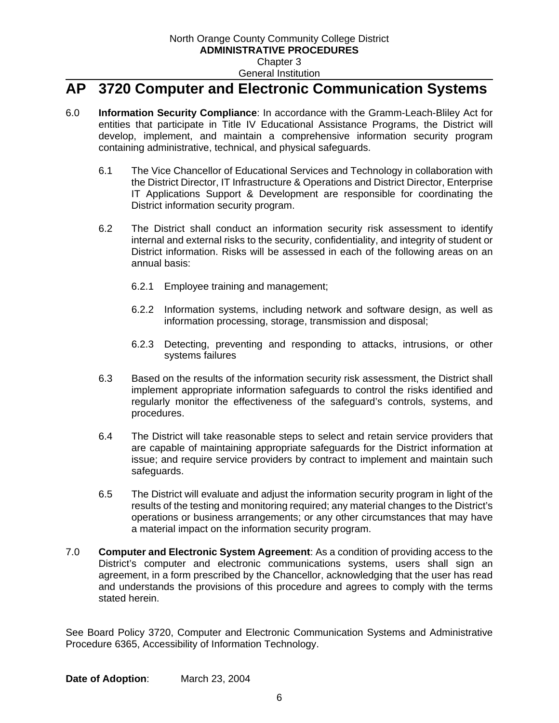- 6.0 **Information Security Compliance**: In accordance with the Gramm-Leach-Bliley Act for entities that participate in Title IV Educational Assistance Programs, the District will develop, implement, and maintain a comprehensive information security program containing administrative, technical, and physical safeguards.
	- 6.1 The Vice Chancellor of Educational Services and Technology in collaboration with the District Director, IT Infrastructure & Operations and District Director, Enterprise IT Applications Support & Development are responsible for coordinating the District information security program.
	- 6.2 The District shall conduct an information security risk assessment to identify internal and external risks to the security, confidentiality, and integrity of student or District information. Risks will be assessed in each of the following areas on an annual basis:
		- 6.2.1 Employee training and management;
		- 6.2.2 Information systems, including network and software design, as well as information processing, storage, transmission and disposal;
		- 6.2.3 Detecting, preventing and responding to attacks, intrusions, or other systems failures
	- 6.3 Based on the results of the information security risk assessment, the District shall implement appropriate information safeguards to control the risks identified and regularly monitor the effectiveness of the safeguard's controls, systems, and procedures.
	- 6.4 The District will take reasonable steps to select and retain service providers that are capable of maintaining appropriate safeguards for the District information at issue; and require service providers by contract to implement and maintain such safeguards.
	- 6.5 The District will evaluate and adjust the information security program in light of the results of the testing and monitoring required; any material changes to the District's operations or business arrangements; or any other circumstances that may have a material impact on the information security program.
- 7.0 **Computer and Electronic System Agreement**: As a condition of providing access to the District's computer and electronic communications systems, users shall sign an agreement, in a form prescribed by the Chancellor, acknowledging that the user has read and understands the provisions of this procedure and agrees to comply with the terms stated herein.

See Board Policy 3720, Computer and Electronic Communication Systems and Administrative Procedure 6365, Accessibility of Information Technology.

**Date of Adoption**: March 23, 2004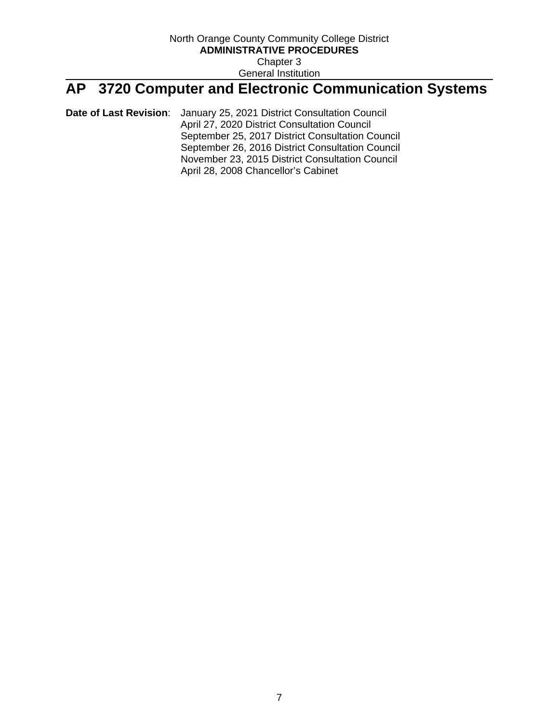**Date of Last Revision**: January 25, 2021 District Consultation Council April 27, 2020 District Consultation Council September 25, 2017 District Consultation Council September 26, 2016 District Consultation Council November 23, 2015 District Consultation Council April 28, 2008 Chancellor's Cabinet